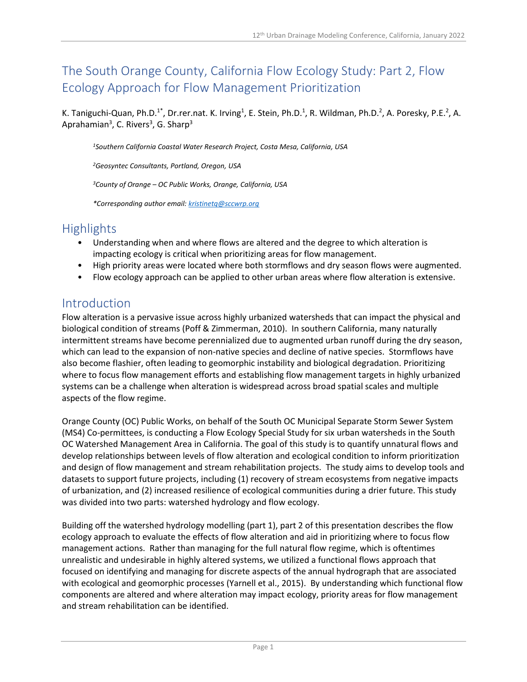# The South Orange County, California Flow Ecology Study: Part 2, Flow Ecology Approach for Flow Management Prioritization

K. Taniguchi-Quan, Ph.D.<sup>1\*</sup>, Dr.rer.nat. K. Irving<sup>1</sup>, E. Stein, Ph.D.<sup>1</sup>, R. Wildman, Ph.D.<sup>2</sup>, A. Poresky, P.E.<sup>2</sup>, A. Aprahamian<sup>3</sup>, C. Rivers<sup>3</sup>, G. Sharp<sup>3</sup>

*<sup>1</sup>Southern California Coastal Water Research Project, Costa Mesa, California, USA*

*<sup>2</sup>Geosyntec Consultants, Portland, Oregon, USA*

*<sup>3</sup>County of Orange – OC Public Works, Orange, California, USA*

*\*Corresponding author email: [kristinetq@sccwrp.org](mailto:kristinetq@sccwrp.org)*

### **Highlights**

- Understanding when and where flows are altered and the degree to which alteration is impacting ecology is critical when prioritizing areas for flow management.
- High priority areas were located where both stormflows and dry season flows were augmented.
- Flow ecology approach can be applied to other urban areas where flow alteration is extensive.

### Introduction

Flow alteration is a pervasive issue across highly urbanized watersheds that can impact the physical and biological condition of streams (Poff & Zimmerman, 2010). In southern California, many naturally intermittent streams have become perennialized due to augmented urban runoff during the dry season, which can lead to the expansion of non-native species and decline of native species. Stormflows have also become flashier, often leading to geomorphic instability and biological degradation. Prioritizing where to focus flow management efforts and establishing flow management targets in highly urbanized systems can be a challenge when alteration is widespread across broad spatial scales and multiple aspects of the flow regime.

Orange County (OC) Public Works, on behalf of the South OC Municipal Separate Storm Sewer System (MS4) Co-permittees, is conducting a Flow Ecology Special Study for six urban watersheds in the South OC Watershed Management Area in California. The goal of this study is to quantify unnatural flows and develop relationships between levels of flow alteration and ecological condition to inform prioritization and design of flow management and stream rehabilitation projects. The study aims to develop tools and datasets to support future projects, including (1) recovery of stream ecosystems from negative impacts of urbanization, and (2) increased resilience of ecological communities during a drier future. This study was divided into two parts: watershed hydrology and flow ecology.

Building off the watershed hydrology modelling (part 1), part 2 of this presentation describes the flow ecology approach to evaluate the effects of flow alteration and aid in prioritizing where to focus flow management actions. Rather than managing for the full natural flow regime, which is oftentimes unrealistic and undesirable in highly altered systems, we utilized a functional flows approach that focused on identifying and managing for discrete aspects of the annual hydrograph that are associated with ecological and geomorphic processes (Yarnell et al., 2015). By understanding which functional flow components are altered and where alteration may impact ecology, priority areas for flow management and stream rehabilitation can be identified.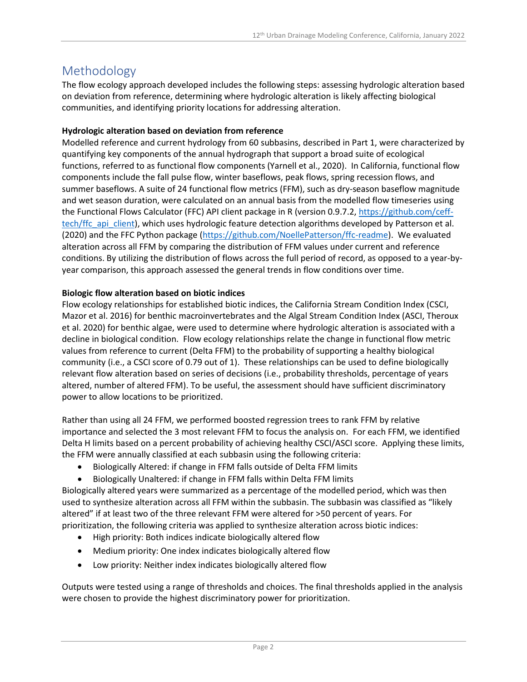### Methodology

The flow ecology approach developed includes the following steps: assessing hydrologic alteration based on deviation from reference, determining where hydrologic alteration is likely affecting biological communities, and identifying priority locations for addressing alteration.

#### **Hydrologic alteration based on deviation from reference**

Modelled reference and current hydrology from 60 subbasins, described in Part 1, were characterized by quantifying key components of the annual hydrograph that support a broad suite of ecological functions, referred to as functional flow components (Yarnell et al., 2020). In California, functional flow components include the fall pulse flow, winter baseflows, peak flows, spring recession flows, and summer baseflows. A suite of 24 functional flow metrics (FFM), such as dry-season baseflow magnitude and wet season duration, were calculated on an annual basis from the modelled flow timeseries using the Functional Flows Calculator (FFC) API client package in R (version 0.9.7.2, [https://github.com/ceff](https://github.com/ceff-tech/ffc_api_client)[tech/ffc\\_api\\_client\)](https://github.com/ceff-tech/ffc_api_client), which uses hydrologic feature detection algorithms developed by Patterson et al. (2020) and the FFC Python package [\(https://github.com/NoellePatterson/ffc-readme\)](https://github.com/NoellePatterson/ffc-readme). We evaluated alteration across all FFM by comparing the distribution of FFM values under current and reference conditions. By utilizing the distribution of flows across the full period of record, as opposed to a year-byyear comparison, this approach assessed the general trends in flow conditions over time.

#### **Biologic flow alteration based on biotic indices**

Flow ecology relationships for established biotic indices, the California Stream Condition Index (CSCI, Mazor et al. 2016) for benthic macroinvertebrates and the Algal Stream Condition Index (ASCI, Theroux et al. 2020) for benthic algae, were used to determine where hydrologic alteration is associated with a decline in biological condition. Flow ecology relationships relate the change in functional flow metric values from reference to current (Delta FFM) to the probability of supporting a healthy biological community (i.e., a CSCI score of 0.79 out of 1). These relationships can be used to define biologically relevant flow alteration based on series of decisions (i.e., probability thresholds, percentage of years altered, number of altered FFM). To be useful, the assessment should have sufficient discriminatory power to allow locations to be prioritized.

Rather than using all 24 FFM, we performed boosted regression trees to rank FFM by relative importance and selected the 3 most relevant FFM to focus the analysis on. For each FFM, we identified Delta H limits based on a percent probability of achieving healthy CSCI/ASCI score. Applying these limits, the FFM were annually classified at each subbasin using the following criteria:

- Biologically Altered: if change in FFM falls outside of Delta FFM limits
- Biologically Unaltered: if change in FFM falls within Delta FFM limits

Biologically altered years were summarized as a percentage of the modelled period, which was then used to synthesize alteration across all FFM within the subbasin. The subbasin was classified as "likely altered" if at least two of the three relevant FFM were altered for >50 percent of years. For prioritization, the following criteria was applied to synthesize alteration across biotic indices:

- High priority: Both indices indicate biologically altered flow
- Medium priority: One index indicates biologically altered flow
- Low priority: Neither index indicates biologically altered flow

Outputs were tested using a range of thresholds and choices. The final thresholds applied in the analysis were chosen to provide the highest discriminatory power for prioritization.